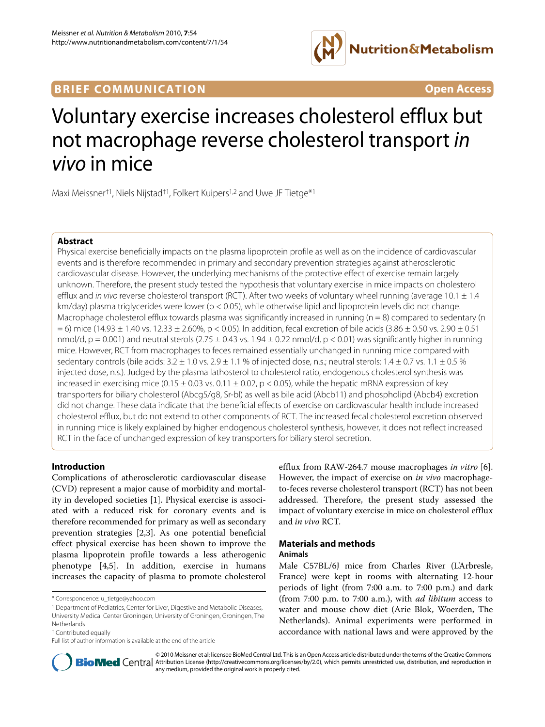

# **BRIEF COMMUNICATION Open Access**

# Voluntary exercise increases cholesterol efflux but not macrophage reverse cholesterol transport in vivo in mice

Maxi Meissner<sup>†1</sup>, Niels Nijstad<sup>†1</sup>, Folkert Kuipers<sup>1,2</sup> and Uwe JF Tietge<sup>\*1</sup>

# **Abstract**

Physical exercise beneficially impacts on the plasma lipoprotein profile as well as on the incidence of cardiovascular events and is therefore recommended in primary and secondary prevention strategies against atherosclerotic cardiovascular disease. However, the underlying mechanisms of the protective effect of exercise remain largely unknown. Therefore, the present study tested the hypothesis that voluntary exercise in mice impacts on cholesterol efflux and in vivo reverse cholesterol transport (RCT). After two weeks of voluntary wheel running (average 10.1  $\pm$  1.4 km/day) plasma triglycerides were lower (p < 0.05), while otherwise lipid and lipoprotein levels did not change. Macrophage cholesterol efflux towards plasma was significantly increased in running ( $n = 8$ ) compared to sedentary (n  $= 6$ ) mice (14.93  $\pm$  1.40 vs. 12.33  $\pm$  2.60%, p < 0.05). In addition, fecal excretion of bile acids (3.86  $\pm$  0.50 vs. 2.90  $\pm$  0.51 nmol/d,  $p = 0.001$ ) and neutral sterols (2.75  $\pm$  0.43 vs. 1.94  $\pm$  0.22 nmol/d,  $p < 0.01$ ) was significantly higher in running mice. However, RCT from macrophages to feces remained essentially unchanged in running mice compared with sedentary controls (bile acids:  $3.2 \pm 1.0$  vs.  $2.9 \pm 1.1$  % of injected dose, n.s.; neutral sterols:  $1.4 \pm 0.7$  vs.  $1.1 \pm 0.5$  % injected dose, n.s.). Judged by the plasma lathosterol to cholesterol ratio, endogenous cholesterol synthesis was increased in exercising mice (0.15  $\pm$  0.03 vs. 0.11  $\pm$  0.02, p < 0.05), while the hepatic mRNA expression of key transporters for biliary cholesterol (Abcg5/g8, Sr-bI) as well as bile acid (Abcb11) and phospholipd (Abcb4) excretion did not change. These data indicate that the beneficial effects of exercise on cardiovascular health include increased cholesterol efflux, but do not extend to other components of RCT. The increased fecal cholesterol excretion observed in running mice is likely explained by higher endogenous cholesterol synthesis, however, it does not reflect increased RCT in the face of unchanged expression of key transporters for biliary sterol secretion.

# **Introduction**

Complications of atherosclerotic cardiovascular disease (CVD) represent a major cause of morbidity and mortality in developed societies [\[1](#page-4-0)]. Physical exercise is associated with a reduced risk for coronary events and is therefore recommended for primary as well as secondary prevention strategies [\[2](#page-4-1)[,3](#page-4-2)]. As one potential beneficial effect physical exercise has been shown to improve the plasma lipoprotein profile towards a less atherogenic phenotype [[4,](#page-4-3)[5\]](#page-4-4). In addition, exercise in humans increases the capacity of plasma to promote cholesterol

† Contributed equally

efflux from RAW-264.7 mouse macrophages *in vitro* [\[6](#page-4-5)]. However, the impact of exercise on *in vivo* macrophageto-feces reverse cholesterol transport (RCT) has not been addressed. Therefore, the present study assessed the impact of voluntary exercise in mice on cholesterol efflux and *in vivo* RCT.

# **Materials and methods Animals**

Male C57BL/6J mice from Charles River (L'Arbresle, France) were kept in rooms with alternating 12-hour periods of light (from 7:00 a.m. to 7:00 p.m.) and dark (from 7:00 p.m. to 7:00 a.m.), with *ad libitum* access to water and mouse chow diet (Arie Blok, Woerden, The Netherlands). Animal experiments were performed in accordance with national laws and were approved by the



© 2010 Meissner et al; licensee BioMed Central Ltd. This is an Open Access article distributed under the terms of the Creative Commons **Bio Med** Central Attribution License (http://creativecommons.org/licenses/by/2.0), which permits unrestricted use, distribution, and reproduction in any medium, provided the original work is properly cited.

<sup>\*</sup> Correspondence: u\_tietge@yahoo.com

<sup>&</sup>lt;sup>1</sup> Department of Pediatrics, Center for Liver, Digestive and Metabolic Diseases, University Medical Center Groningen, University of Groningen, Groningen, The Netherlands

Full list of author information is available at the end of the article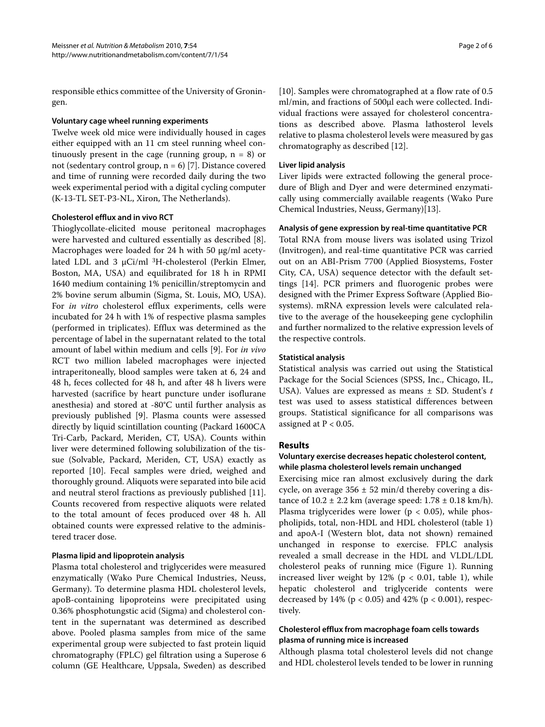responsible ethics committee of the University of Groningen.

#### **Voluntary cage wheel running experiments**

Twelve week old mice were individually housed in cages either equipped with an 11 cm steel running wheel continuously present in the cage (running group,  $n = 8$ ) or not (sedentary control group,  $n = 6$ ) [[7\]](#page-4-6). Distance covered and time of running were recorded daily during the two week experimental period with a digital cycling computer (K-13-TL SET-P3-NL, Xiron, The Netherlands).

#### **Cholesterol efflux and in vivo RCT**

Thioglycollate-elicited mouse peritoneal macrophages were harvested and cultured essentially as described [\[8](#page-4-7)]. Macrophages were loaded for 24 h with 50 μg/ml acetylated LDL and 3 μCi/ml 3H-cholesterol (Perkin Elmer, Boston, MA, USA) and equilibrated for 18 h in RPMI 1640 medium containing 1% penicillin/streptomycin and 2% bovine serum albumin (Sigma, St. Louis, MO, USA). For *in vitro* cholesterol efflux experiments, cells were incubated for 24 h with 1% of respective plasma samples (performed in triplicates). Efflux was determined as the percentage of label in the supernatant related to the total amount of label within medium and cells [[9\]](#page-5-0). For *in vivo* RCT two million labeled macrophages were injected intraperitoneally, blood samples were taken at 6, 24 and 48 h, feces collected for 48 h, and after 48 h livers were harvested (sacrifice by heart puncture under isoflurane anesthesia) and stored at -80°C until further analysis as previously published [\[9](#page-5-0)]. Plasma counts were assessed directly by liquid scintillation counting (Packard 1600CA Tri-Carb, Packard, Meriden, CT, USA). Counts within liver were determined following solubilization of the tissue (Solvable, Packard, Meriden, CT, USA) exactly as reported [\[10](#page-5-1)]. Fecal samples were dried, weighed and thoroughly ground. Aliquots were separated into bile acid and neutral sterol fractions as previously published [\[11](#page-5-2)]. Counts recovered from respective aliquots were related to the total amount of feces produced over 48 h. All obtained counts were expressed relative to the administered tracer dose.

# **Plasma lipid and lipoprotein analysis**

Plasma total cholesterol and triglycerides were measured enzymatically (Wako Pure Chemical Industries, Neuss, Germany). To determine plasma HDL cholesterol levels, apoB-containing lipoproteins were precipitated using 0.36% phosphotungstic acid (Sigma) and cholesterol content in the supernatant was determined as described above. Pooled plasma samples from mice of the same experimental group were subjected to fast protein liquid chromatography (FPLC) gel filtration using a Superose 6 column (GE Healthcare, Uppsala, Sweden) as described

[[10\]](#page-5-1). Samples were chromatographed at a flow rate of 0.5 ml/min, and fractions of 500μl each were collected. Individual fractions were assayed for cholesterol concentrations as described above. Plasma lathosterol levels relative to plasma cholesterol levels were measured by gas chromatography as described [\[12](#page-5-3)].

#### **Liver lipid analysis**

Liver lipids were extracted following the general procedure of Bligh and Dyer and were determined enzymatically using commercially available reagents (Wako Pure Chemical Industries, Neuss, Germany)[\[13](#page-5-4)].

#### **Analysis of gene expression by real-time quantitative PCR**

Total RNA from mouse livers was isolated using Trizol (Invitrogen), and real-time quantitative PCR was carried out on an ABI-Prism 7700 (Applied Biosystems, Foster City, CA, USA) sequence detector with the default settings [[14\]](#page-5-5). PCR primers and fluorogenic probes were designed with the Primer Express Software (Applied Biosystems). mRNA expression levels were calculated relative to the average of the housekeeping gene cyclophilin and further normalized to the relative expression levels of the respective controls.

#### **Statistical analysis**

Statistical analysis was carried out using the Statistical Package for the Social Sciences (SPSS, Inc., Chicago, IL, USA). Values are expressed as means ± SD. Student's *t* test was used to assess statistical differences between groups. Statistical significance for all comparisons was assigned at  $P < 0.05$ .

# **Results**

# **Voluntary exercise decreases hepatic cholesterol content, while plasma cholesterol levels remain unchanged**

Exercising mice ran almost exclusively during the dark cycle, on average  $356 \pm 52$  min/d thereby covering a distance of  $10.2 \pm 2.2$  km (average speed:  $1.78 \pm 0.18$  km/h). Plasma triglycerides were lower ( $p < 0.05$ ), while phospholipids, total, non-HDL and HDL cholesterol (table [1](#page-2-0)) and apoA-I (Western blot, data not shown) remained unchanged in response to exercise. FPLC analysis revealed a small decrease in the HDL and VLDL/LDL cholesterol peaks of running mice (Figure [1\)](#page-2-1). Running increased liver weight by  $12\%$  $12\%$  (p < 0.01, table 1), while hepatic cholesterol and triglyceride contents were decreased by  $14\%$  (p < 0.05) and  $42\%$  (p < 0.001), respectively.

# **Cholesterol efflux from macrophage foam cells towards plasma of running mice is increased**

Although plasma total cholesterol levels did not change and HDL cholesterol levels tended to be lower in running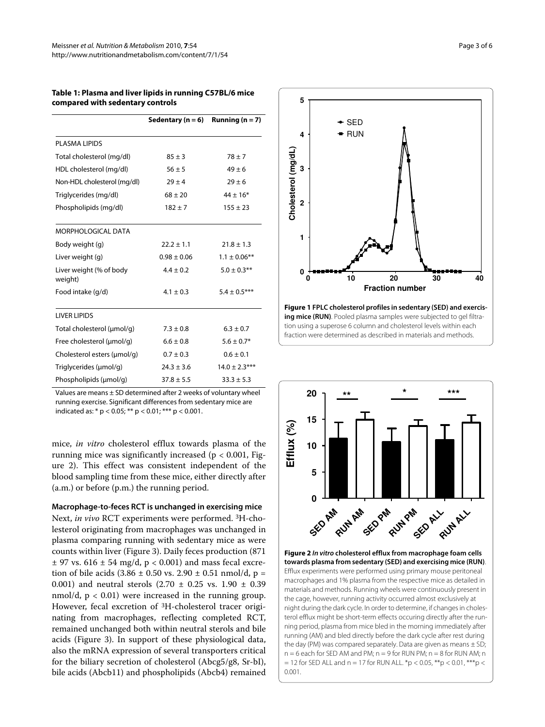#### <span id="page-2-0"></span>**Table 1: Plasma and liver lipids in running C57BL/6 mice compared with sedentary controls**

|                                    | Sedentary ( $n = 6$ ) | Running $(n = 7)$ |
|------------------------------------|-----------------------|-------------------|
| <b>PLASMA LIPIDS</b>               |                       |                   |
| Total cholesterol (mg/dl)          | $85 \pm 3$            | $78 + 7$          |
| HDL cholesterol (mg/dl)            | $56 \pm 5$            | $49 \pm 6$        |
| Non-HDL cholesterol (mg/dl)        | $29 + 4$              | $29 + 6$          |
| Triglycerides (mg/dl)              | $68 \pm 20$           | $44 \pm 16*$      |
| Phospholipids (mg/dl)              | $182 + 7$             | $155 \pm 23$      |
| MORPHOLOGICAL DATA                 |                       |                   |
| Body weight (g)                    | $22.2 \pm 1.1$        | $21.8 \pm 1.3$    |
| Liver weight (g)                   | $0.98 \pm 0.06$       | $1.1 \pm 0.06$ ** |
| Liver weight (% of body<br>weight) | $4.4 \pm 0.2$         | $5.0 \pm 0.3$ **  |
| Food intake (q/d)                  | $4.1 \pm 0.3$         | $5.4 \pm 0.5***$  |
| <b>LIVER LIPIDS</b>                |                       |                   |
| Total cholesterol (µmol/q)         | $7.3 \pm 0.8$         | $6.3 \pm 0.7$     |
| Free cholesterol (µmol/q)          | $6.6 \pm 0.8$         | $5.6 \pm 0.7*$    |
| Cholesterol esters (µmol/q)        | $0.7 \pm 0.3$         | $0.6 \pm 0.1$     |
| Triglycerides (µmol/g)             | $24.3 \pm 3.6$        | $14.0 \pm 2.3***$ |
| Phospholipids (µmol/q)             | $37.8 \pm 5.5$        | $33.3 \pm 5.3$    |

Values are means ± SD determined after 2 weeks of voluntary wheel running exercise. Significant differences from sedentary mice are indicated as: \*  $p < 0.05$ ; \*\*  $p < 0.01$ ; \*\*\*  $p < 0.001$ .

mice, *in vitro* cholesterol efflux towards plasma of the running mice was significantly increased ( $p < 0.001$ , Figure [2](#page-2-2)). This effect was consistent independent of the blood sampling time from these mice, either directly after (a.m.) or before (p.m.) the running period.

**Macrophage-to-feces RCT is unchanged in exercising mice** Next, *in vivo* RCT experiments were performed. 3H-cholesterol originating from macrophages was unchanged in plasma comparing running with sedentary mice as were counts within liver (Figure [3](#page-3-0)). Daily feces production (871  $\pm$  97 vs. 616  $\pm$  54 mg/d, p < 0.001) and mass fecal excretion of bile acids  $(3.86 \pm 0.50 \text{ vs. } 2.90 \pm 0.51 \text{ nmol/d}, p =$ 0.001) and neutral sterols  $(2.70 \pm 0.25 \text{ vs. } 1.90 \pm 0.39)$ nmol/d,  $p < 0.01$ ) were increased in the running group. However, fecal excretion of 3H-cholesterol tracer originating from macrophages, reflecting completed RCT, remained unchanged both within neutral sterols and bile acids (Figure [3](#page-3-0)). In support of these physiological data, also the mRNA expression of several transporters critical for the biliary secretion of cholesterol (Abcg5/g8, Sr-bI), bile acids (Abcb11) and phospholipids (Abcb4) remained

<span id="page-2-1"></span>

**Figure 1 FPLC cholesterol profiles in sedentary (SED) and exercis**ing mice (RUN). Pooled plasma samples were subjected to gel filtration using a superose 6 column and cholesterol levels within each fraction were determined as described in materials and methods.

<span id="page-2-2"></span>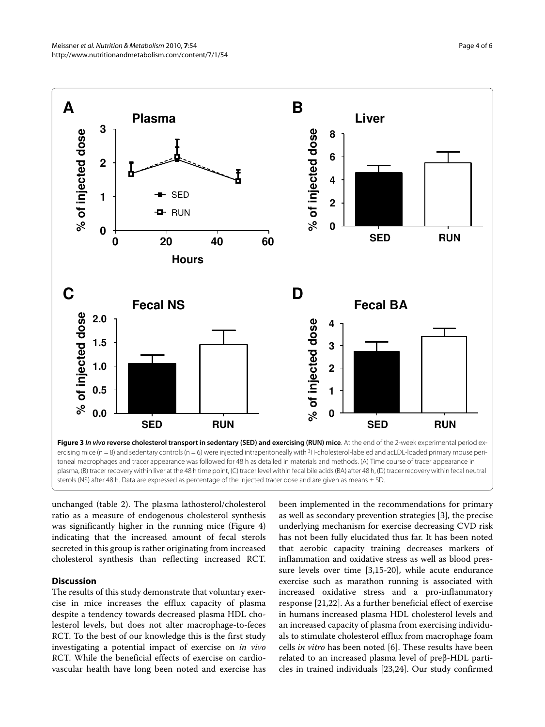<span id="page-3-0"></span>

plasma, (B) tracer recovery within liver at the 48 h time point, (C) tracer level within fecal bile acids (BA) after 48 h, (D) tracer recovery within fecal neutral sterols (NS) after 48 h. Data are expressed as percentage of the injected tracer dose and are given as means  $\pm$  SD.

unchanged (table 2). The plasma lathosterol/cholesterol ratio as a measure of endogenous cholesterol synthesis was significantly higher in the running mice (Figure [4](#page-4-8)) indicating that the increased amount of fecal sterols secreted in this group is rather originating from increased cholesterol synthesis than reflecting increased RCT.

# **Discussion**

The results of this study demonstrate that voluntary exercise in mice increases the efflux capacity of plasma despite a tendency towards decreased plasma HDL cholesterol levels, but does not alter macrophage-to-feces RCT. To the best of our knowledge this is the first study investigating a potential impact of exercise on *in vivo* RCT. While the beneficial effects of exercise on cardiovascular health have long been noted and exercise has been implemented in the recommendations for primary as well as secondary prevention strategies [\[3](#page-4-2)], the precise underlying mechanism for exercise decreasing CVD risk has not been fully elucidated thus far. It has been noted that aerobic capacity training decreases markers of inflammation and oxidative stress as well as blood pressure levels over time [\[3](#page-4-2)[,15](#page-5-6)-[20\]](#page-5-7), while acute endurance exercise such as marathon running is associated with increased oxidative stress and a pro-inflammatory response [[21,](#page-5-8)[22\]](#page-5-9). As a further beneficial effect of exercise in humans increased plasma HDL cholesterol levels and an increased capacity of plasma from exercising individuals to stimulate cholesterol efflux from macrophage foam cells *in vitro* has been noted [[6\]](#page-4-5). These results have been related to an increased plasma level of preβ-HDL particles in trained individuals [\[23](#page-5-10)[,24](#page-5-11)]. Our study confirmed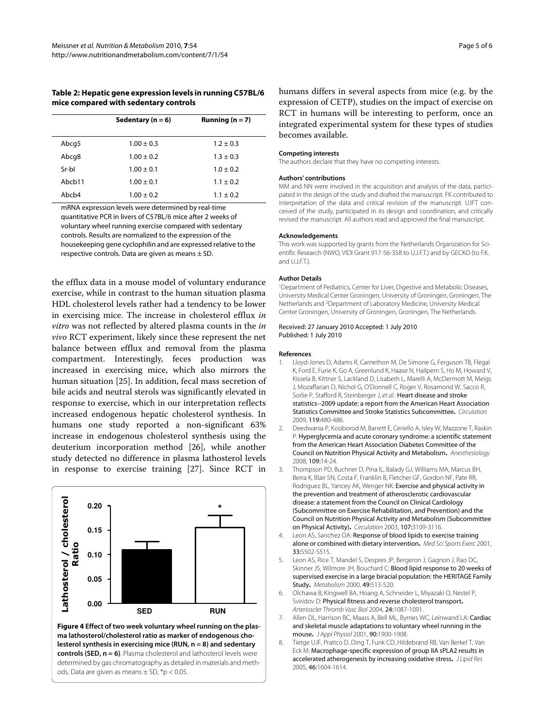#### **Table 2: Hepatic gene expression levels in running C57BL/6 mice compared with sedentary controls**

|        | Sedentary ( $n = 6$ ) | Running ( $n = 7$ ) |
|--------|-----------------------|---------------------|
| Abcg5  | $1.00 \pm 0.3$        | $1.2 \pm 0.3$       |
| Abcg8  | $1.00 \pm 0.2$        | $1.3 \pm 0.3$       |
| Sr-hl  | $1.00 \pm 0.1$        | $1.0 \pm 0.2$       |
| Abcb11 | $1.00 \pm 0.1$        | $1.1 \pm 0.2$       |
| Ahch4  | $1.00 \pm 0.2$        | $1.1 \pm 0.2$       |

mRNA expression levels were determined by real-time quantitative PCR in livers of C57BL/6 mice after 2 weeks of voluntary wheel running exercise compared with sedentary controls. Results are normalized to the expression of the housekeeping gene cyclophilin and are expressed relative to the respective controls. Data are given as means  $\pm$  SD.

the efflux data in a mouse model of voluntary endurance exercise, while in contrast to the human situation plasma HDL cholesterol levels rather had a tendency to be lower in exercising mice. The increase in cholesterol efflux *in vitro* was not reflected by altered plasma counts in the *in vivo* RCT experiment, likely since these represent the net balance between efflux and removal from the plasma compartment. Interestingly, feces production was increased in exercising mice, which also mirrors the human situation [[25](#page-5-12)]. In addition, fecal mass secretion of bile acids and neutral sterols was significantly elevated in response to exercise, which in our interpretation reflects increased endogenous hepatic cholesterol synthesis. In humans one study reported a non-significant 63% increase in endogenous cholesterol synthesis using the deuterium incorporation method [\[26](#page-5-13)], while another study detected no difference in plasma lathosterol levels in response to exercise training [[27\]](#page-5-14). Since RCT in

<span id="page-4-8"></span>

**Figure 4 Effect of two week voluntary wheel running on the plasma lathosterol/cholesterol ratio as marker of endogenous cholesterol synthesis in exercising mice (RUN, n = 8) and sedentary controls (SED, n = 6)**. Plasma cholesterol and lathosterol levels were determined by gas chromatography as detailed in materials and methods. Data are given as means  $\pm$  SD,  $*$ p < 0.05.

humans differs in several aspects from mice (e.g. by the expression of CETP), studies on the impact of exercise on RCT in humans will be interesting to perform, once an integrated experimental system for these types of studies becomes available.

#### **Competing interests**

The authors declare that they have no competing interests.

#### **Authors' contributions**

MM and NN were involved in the acquisition and analysis of the data, participated in the design of the study and drafted the manuscript. FK contributed to interpretation of the data and critical revision of the manuscript. UJFT conceived of the study, participated in its design and coordination, and critically revised the manuscript. All authors read and approved the final manuscript.

#### **Acknowledgements**

This work was supported by grants from the Netherlands Organization for Scientific Research (NWO, VIDI Grant 917-56-358 to U.J.F.T.) and by GECKO (to F.K. and U.J.F.T.

#### **Author Details**

1Department of Pediatrics, Center for Liver, Digestive and Metabolic Diseases, University Medical Center Groningen, University of Groningen, Groningen, The Netherlands and 2Department of Laboratory Medicine, University Medical Center Groningen, University of Groningen, Groningen, The Netherlands

#### Received: 27 January 2010 Accepted: 1 July 2010 Published: 1 July 2010

#### **References**

- <span id="page-4-0"></span>1. Lloyd-Jones D, Adams R, Carnethon M, De Simone G, Ferguson TB, Flegal K, Ford E, Furie K, Go A, Greenlund K, Haase N, Hailpern S, Ho M, Howard V, Kissela B, Kittner S, Lackland D, Lisabeth L, Marelli A, McDermott M, Meigs J, Mozaffarian D, Nichol G, O'Donnell C, Roger V, Rosamond W, Sacco R, Sorlie P, Stafford R, Steinberger J, et al.: Heart disease and stroke statistics--2009 update: a report from the American Heart Association Statistics Committee and Stroke Statistics Subcommittee**.** Circulation 2009, 119:480-486.
- <span id="page-4-1"></span>2. Deedwania P, Kosiborod M, Barrett E, Ceriello A, Isley W, Mazzone T, Raskin P: Hyperglycemia and acute coronary syndrome: a scientific statement from the American Heart Association Diabetes Committee of the Council on Nutrition Physical Activity and Metabolism**.** Anesthesiology 2008, 109:14-24.
- <span id="page-4-2"></span>3. Thompson PD, Buchner D, Pina IL, Balady GJ, Williams MA, Marcus BH, Berra K, Blair SN, Costa F, Franklin B, Fletcher GF, Gordon NF, Pate RR, Rodriguez BL, Yancey AK, Wenger NK: Exercise and physical activity in the prevention and treatment of atherosclerotic cardiovascular disease: a statement from the Council on Clinical Cardiology (Subcommittee on Exercise Rehabilitation, and Prevention) and the Council on Nutrition Physical Activity and Metabolism (Subcommittee on Physical Activity)**.** Circulation 2003, 107:3109-3116.
- <span id="page-4-3"></span>4. Leon AS, Sanchez OA: Response of blood lipids to exercise training alone or combined with dietary intervention. Med Sci Sports Exerc 2001, 33:S502-S515.
- <span id="page-4-4"></span>5. Leon AS, Rice T, Mandel S, Despres JP, Bergeron J, Gagnon J, Rao DC, Skinner JS, Wilmore JH, Bouchard C: Blood lipid response to 20 weeks of supervised exercise in a large biracial population: the HERITAGE Family Study**.** Metabolism 2000, 49:513-520.
- <span id="page-4-5"></span>6. Olchawa B, Kingwell BA, Hoang A, Schneider L, Miyazaki O, Nestel P, Sviridov D: Physical fitness and reverse cholesterol transport**.** Arterioscler Thromb Vasc Biol 2004, 24:1087-1091.
- <span id="page-4-6"></span>7. Allen DL, Harrison BC, Maass A, Bell ML, Byrnes WC, Leinwand LA: Cardiac and skeletal muscle adaptations to voluntary wheel running in the mouse**.** J Appl Physiol 2001, 90:1900-1908.
- <span id="page-4-7"></span>8. Tietge UJF, Pratico D, Ding T, Funk CD, Hildebrand RB, Van Berkel T, Van Eck M: Macrophage-specific expression of group IIA sPLA2 results in accelerated atherogenesis by increasing oxidative stress**[.](http://www.ncbi.nlm.nih.gov/entrez/query.fcgi?cmd=Retrieve&db=PubMed&dopt=Abstract&list_uids=15897607)** J Lipid Res 2005, 46:1604-1614.